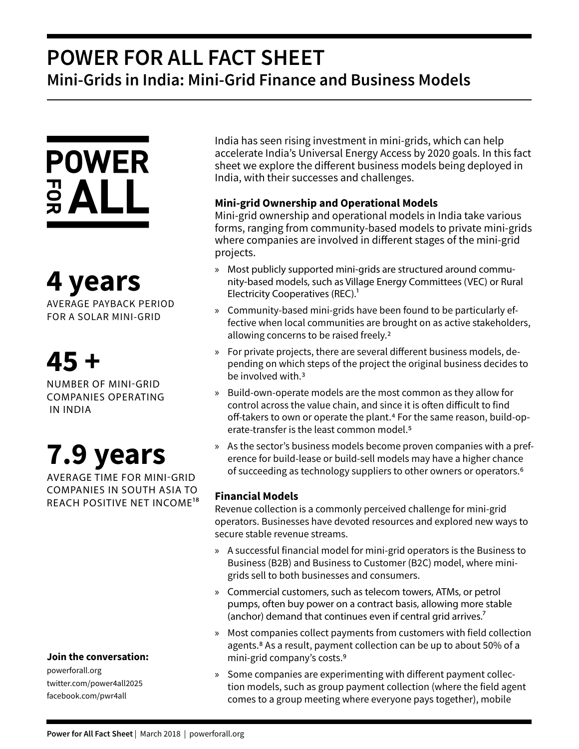## **POWER FOR ALL FACT SHEET Mini-Grids in India: Mini-Grid Finance and Business Models**

# **POWER**  $rac{1}{2}ALL$

# **4 years**

AVERAGE PAYBACK PERIOD FOR A SOLAR MINI-GRID

# **45 +**

NUMBER OF MINI-GRID COMPANIES OPERATING IN INDIA

# **7.9 years**

AVERAGE TIME FOR MINI-GRID COMPANIES IN SOUTH ASIA TO REACH POSITIVE NET INCOME18

### **Join the conversation:**

powerforall.org twitter.com/power4all2025 facebook.com/pwr4all

India has seen rising investment in mini-grids, which can help accelerate India's Universal Energy Access by 2020 goals. In this fact sheet we explore the different business models being deployed in India, with their successes and challenges.

## **Mini-grid Ownership and Operational Models**

Mini-grid ownership and operational models in India take various forms, ranging from community-based models to private mini-grids where companies are involved in different stages of the mini-grid projects.

- » Most publicly supported mini-grids are structured around community-based models, such as Village Energy Committees (VEC) or Rural Electricity Cooperatives (REC).<sup>1</sup>
- » Community-based mini-grids have been found to be particularly effective when local communities are brought on as active stakeholders, allowing concerns to be raised freely.2
- » For private projects, there are several different business models, depending on which steps of the project the original business decides to be involved with.<sup>3</sup>
- » Build-own-operate models are the most common as they allow for control across the value chain, and since it is often difficult to find off-takers to own or operate the plant.<sup>4</sup> For the same reason, build-operate-transfer is the least common model.5
- » As the sector's business models become proven companies with a preference for build-lease or build-sell models may have a higher chance of succeeding as technology suppliers to other owners or operators.6

## **Financial Models**

Revenue collection is a commonly perceived challenge for mini-grid operators. Businesses have devoted resources and explored new ways to secure stable revenue streams.

- » A successful financial model for mini-grid operators is the Business to Business (B2B) and Business to Customer (B2C) model, where minigrids sell to both businesses and consumers.
- » Commercial customers, such as telecom towers, ATMs, or petrol pumps, often buy power on a contract basis, allowing more stable (anchor) demand that continues even if central grid arrives.<sup>7</sup>
- » Most companies collect payments from customers with field collection agents.<sup>8</sup> As a result, payment collection can be up to about 50% of a mini-grid company's costs.9
- » Some companies are experimenting with different payment collection models, such as group payment collection (where the field agent comes to a group meeting where everyone pays together), mobile